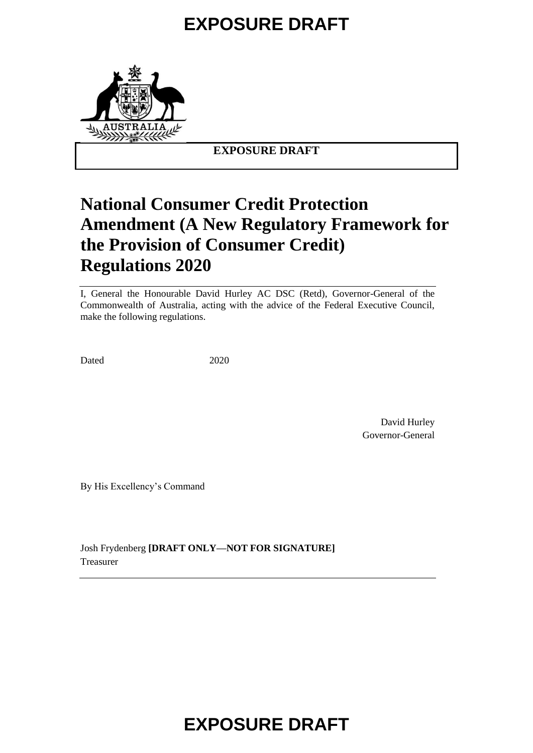# **EXPOSURE DRAFT**



**EXPOSURE DRAFT**

# **National Consumer Credit Protection Amendment (A New Regulatory Framework for the Provision of Consumer Credit) Regulations 2020**

I, General the Honourable David Hurley AC DSC (Retd), Governor-General of the Commonwealth of Australia, acting with the advice of the Federal Executive Council, make the following regulations.

Dated 2020

David Hurley Governor-General

By His Excellency's Command

Josh Frydenberg **[DRAFT ONLY—NOT FOR SIGNATURE]** Treasurer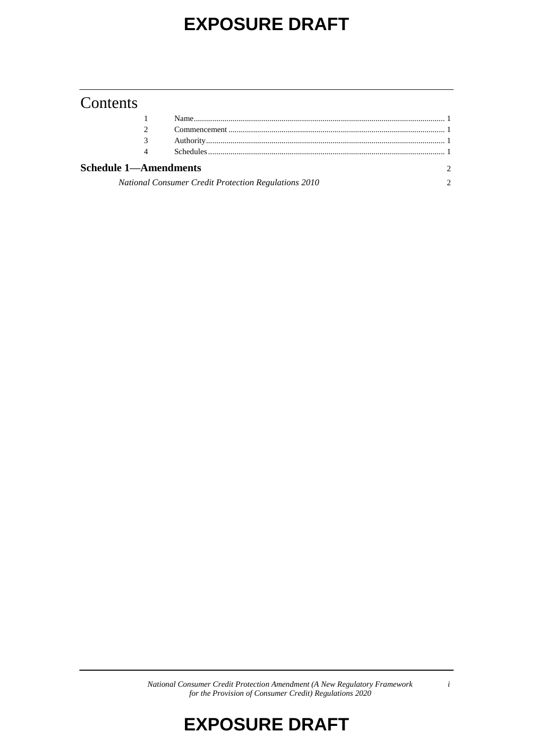## **EXPOSURE DRAFT**

### Contents

| 4                                                    |  |  |
|------------------------------------------------------|--|--|
| <b>Schedule 1—Amendments</b>                         |  |  |
| National Consumer Credit Protection Regulations 2010 |  |  |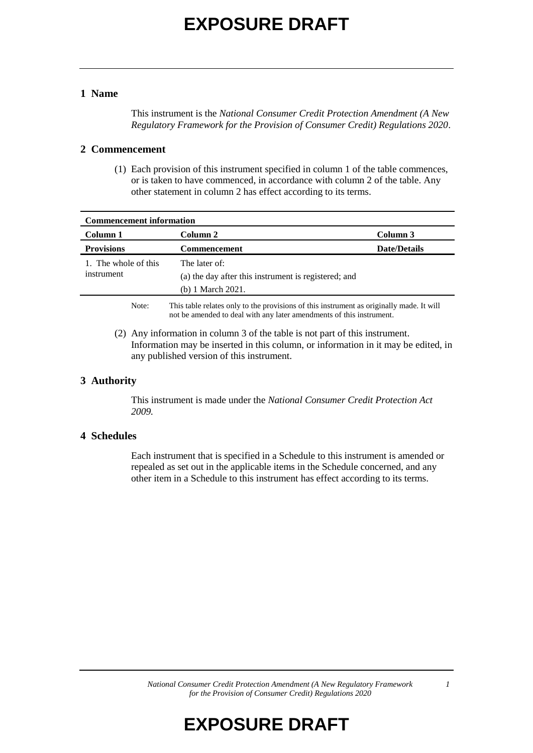#### **1 Name**

This instrument is the *National Consumer Credit Protection Amendment (A New Regulatory Framework for the Provision of Consumer Credit) Regulations 2020*.

#### **2 Commencement**

(1) Each provision of this instrument specified in column 1 of the table commences, or is taken to have commenced, in accordance with column 2 of the table. Any other statement in column 2 has effect according to its terms.

| <b>Commencement information</b>    |                                                                                          |                     |  |
|------------------------------------|------------------------------------------------------------------------------------------|---------------------|--|
| Column 1                           | Column 2                                                                                 | Column 3            |  |
| <b>Provisions</b>                  | <b>Commencement</b>                                                                      | <b>Date/Details</b> |  |
| 1. The whole of this<br>instrument | The later of:                                                                            |                     |  |
|                                    | (a) the day after this instrument is registered; and                                     |                     |  |
|                                    | (b) 1 March 2021.                                                                        |                     |  |
| Note:                              | This table relates only to the provisions of this instrument as originally made. It will |                     |  |

not be amended to deal with any later amendments of this instrument.

(2) Any information in column 3 of the table is not part of this instrument. Information may be inserted in this column, or information in it may be edited, in any published version of this instrument.

#### **3 Authority**

This instrument is made under the *National Consumer Credit Protection Act 2009.*

#### **4 Schedules**

Each instrument that is specified in a Schedule to this instrument is amended or repealed as set out in the applicable items in the Schedule concerned, and any other item in a Schedule to this instrument has effect according to its terms.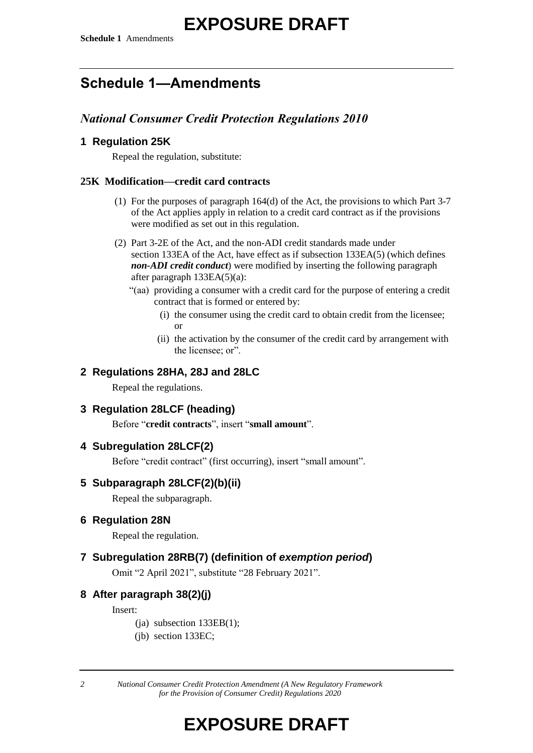# **EXPOSURE DRAFT**

### **Schedule 1—Amendments**

### *National Consumer Credit Protection Regulations 2010*

### **1 Regulation 25K**

Repeal the regulation, substitute:

#### **25K Modification—credit card contracts**

- (1) For the purposes of paragraph 164(d) of the Act, the provisions to which Part 3-7 of the Act applies apply in relation to a credit card contract as if the provisions were modified as set out in this regulation.
- (2) Part 3-2E of the Act, and the non-ADI credit standards made under section 133EA of the Act, have effect as if subsection 133EA(5) (which defines *non-ADI credit conduct*) were modified by inserting the following paragraph after paragraph 133EA(5)(a):
	- "(aa) providing a consumer with a credit card for the purpose of entering a credit contract that is formed or entered by:
		- (i) the consumer using the credit card to obtain credit from the licensee; or
		- (ii) the activation by the consumer of the credit card by arrangement with the licensee; or".

#### **2 Regulations 28HA, 28J and 28LC**

Repeal the regulations.

### **3 Regulation 28LCF (heading)**

Before "**credit contracts**", insert "**small amount**".

#### **4 Subregulation 28LCF(2)**

Before "credit contract" (first occurring), insert "small amount".

#### **5 Subparagraph 28LCF(2)(b)(ii)**

Repeal the subparagraph.

### **6 Regulation 28N**

Repeal the regulation.

### **7 Subregulation 28RB(7) (definition of** *exemption period***)**

Omit "2 April 2021", substitute "28 February 2021".

### **8 After paragraph 38(2)(j)**

Insert:

- $(i)$  subsection 133EB(1);
- (jb) section 133EC;

*2 National Consumer Credit Protection Amendment (A New Regulatory Framework for the Provision of Consumer Credit) Regulations 2020*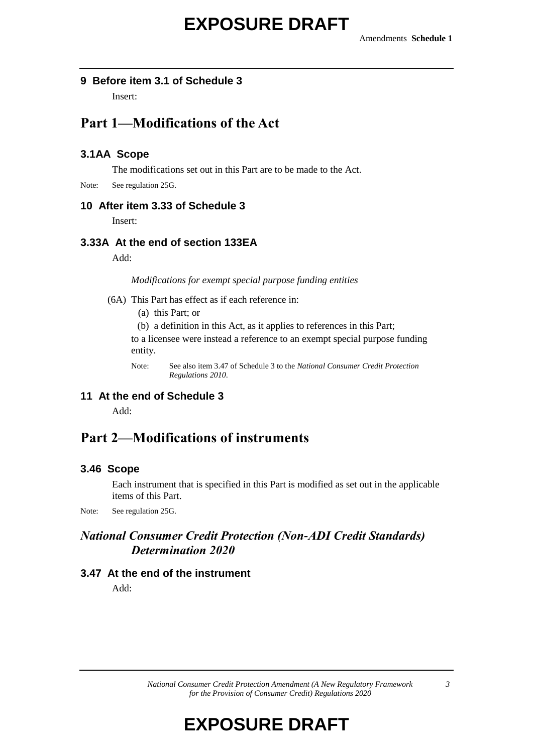#### **9 Before item 3.1 of Schedule 3**

Insert:

### **Part 1—Modifications of the Act**

#### **3.1AA Scope**

The modifications set out in this Part are to be made to the Act.

Note: See regulation 25G.

#### **10 After item 3.33 of Schedule 3**

Insert:

#### **3.33A At the end of section 133EA**

Add:

*Modifications for exempt special purpose funding entities*

(6A) This Part has effect as if each reference in:

(a) this Part; or

(b) a definition in this Act, as it applies to references in this Part;

to a licensee were instead a reference to an exempt special purpose funding entity.

Note: See also item 3.47 of Schedule 3 to the *National Consumer Credit Protection Regulations 2010*.

### **11 At the end of Schedule 3**

Add:

### **Part 2—Modifications of instruments**

#### **3.46 Scope**

Each instrument that is specified in this Part is modified as set out in the applicable items of this Part.

Note: See regulation 25G.

### *National Consumer Credit Protection (Non-ADI Credit Standards) Determination 2020*

#### **3.47 At the end of the instrument**

Add: